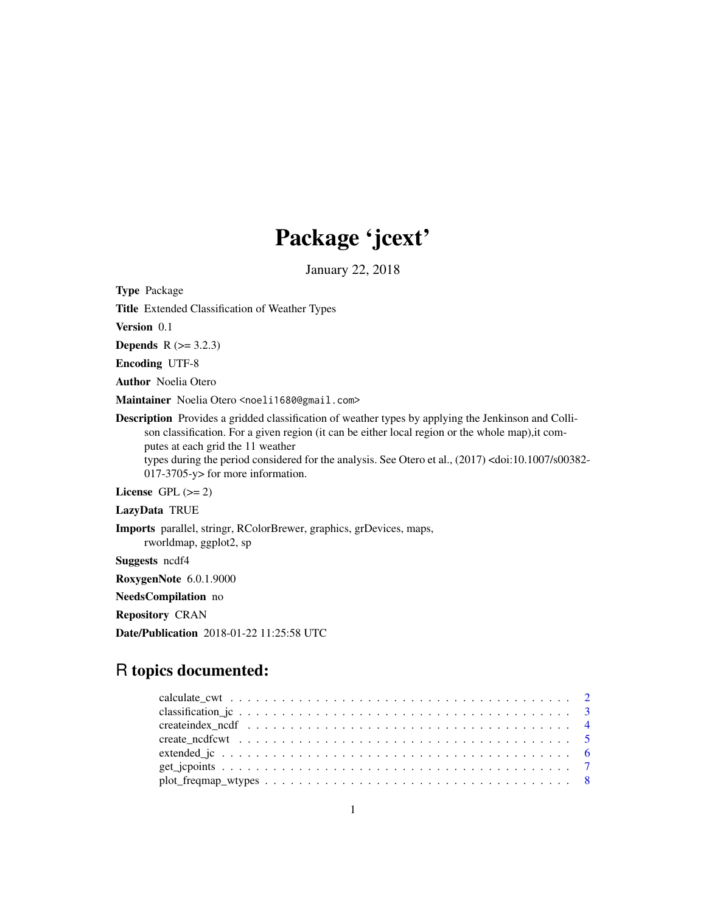# Package 'jcext'

January 22, 2018

Type Package

Title Extended Classification of Weather Types

Version 0.1

**Depends**  $R$  ( $>= 3.2.3$ )

Encoding UTF-8

Author Noelia Otero

Maintainer Noelia Otero <noeli1680@gmail.com>

Description Provides a gridded classification of weather types by applying the Jenkinson and Collison classification. For a given region (it can be either local region or the whole map),it computes at each grid the 11 weather types during the period considered for the analysis. See Otero et al., (2017) <doi:10.1007/s00382-

017-3705-y> for more information.

License GPL  $(>= 2)$ 

LazyData TRUE

Imports parallel, stringr, RColorBrewer, graphics, grDevices, maps,

rworldmap, ggplot2, sp

Suggests ncdf4

RoxygenNote 6.0.1.9000

NeedsCompilation no

Repository CRAN

Date/Publication 2018-01-22 11:25:58 UTC

# R topics documented:

| $plot_freqmap_wyypes \dots \dots \dots \dots \dots \dots \dots \dots \dots \dots \dots \dots \dots \dots$ |  |  |  |  |  |  |  |  |  |  |  |  |  |  |  |  |
|-----------------------------------------------------------------------------------------------------------|--|--|--|--|--|--|--|--|--|--|--|--|--|--|--|--|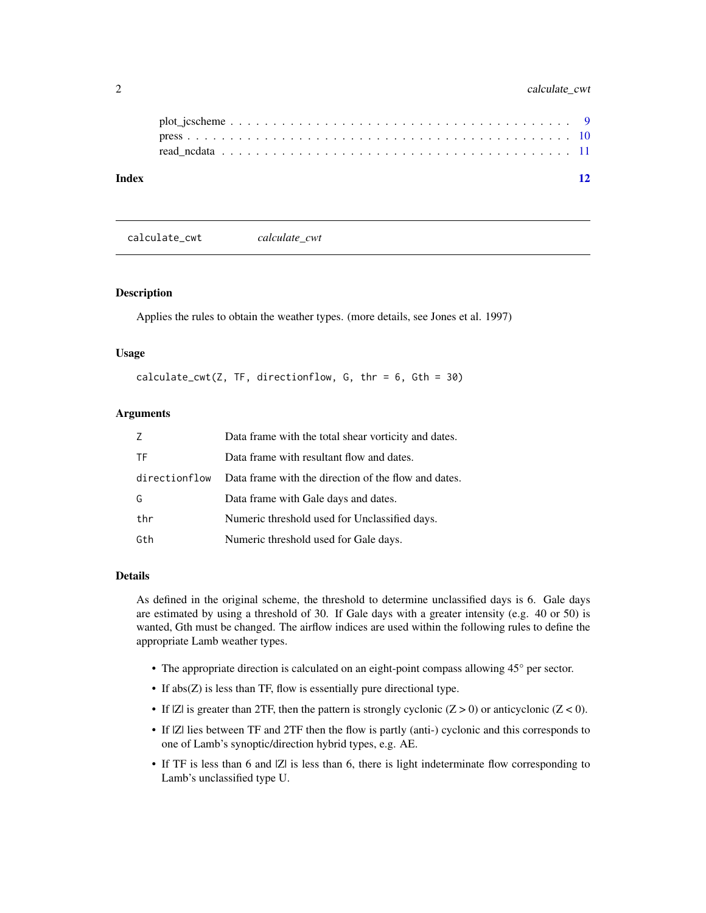<span id="page-1-0"></span>

| Index |  |  |  |  |  |  |  |  |  |  |  |  |  |  |  |  |  | 12 |
|-------|--|--|--|--|--|--|--|--|--|--|--|--|--|--|--|--|--|----|
|       |  |  |  |  |  |  |  |  |  |  |  |  |  |  |  |  |  |    |
|       |  |  |  |  |  |  |  |  |  |  |  |  |  |  |  |  |  |    |

<span id="page-1-1"></span>calculate\_cwt *calculate\_cwt*

### Description

Applies the rules to obtain the weather types. (more details, see Jones et al. 1997)

#### Usage

```
calculate_cwt(Z, TF, directionflow, G, thr = 6, Gth = 30)
```
#### **Arguments**

| Z             | Data frame with the total shear vorticity and dates. |
|---------------|------------------------------------------------------|
| ΤF            | Data frame with resultant flow and dates.            |
| directionflow | Data frame with the direction of the flow and dates. |
| G             | Data frame with Gale days and dates.                 |
| thr           | Numeric threshold used for Unclassified days.        |
| Gth           | Numeric threshold used for Gale days.                |

# Details

As defined in the original scheme, the threshold to determine unclassified days is 6. Gale days are estimated by using a threshold of 30. If Gale days with a greater intensity (e.g. 40 or 50) is wanted, Gth must be changed. The airflow indices are used within the following rules to define the appropriate Lamb weather types.

- The appropriate direction is calculated on an eight-point compass allowing 45° per sector.
- If abs(Z) is less than TF, flow is essentially pure directional type.
- If  $|Z|$  is greater than 2TF, then the pattern is strongly cyclonic  $(Z > 0)$  or anticyclonic  $(Z < 0)$ .
- If |Z| lies between TF and 2TF then the flow is partly (anti-) cyclonic and this corresponds to one of Lamb's synoptic/direction hybrid types, e.g. AE.
- If TF is less than 6 and |Z| is less than 6, there is light indeterminate flow corresponding to Lamb's unclassified type U.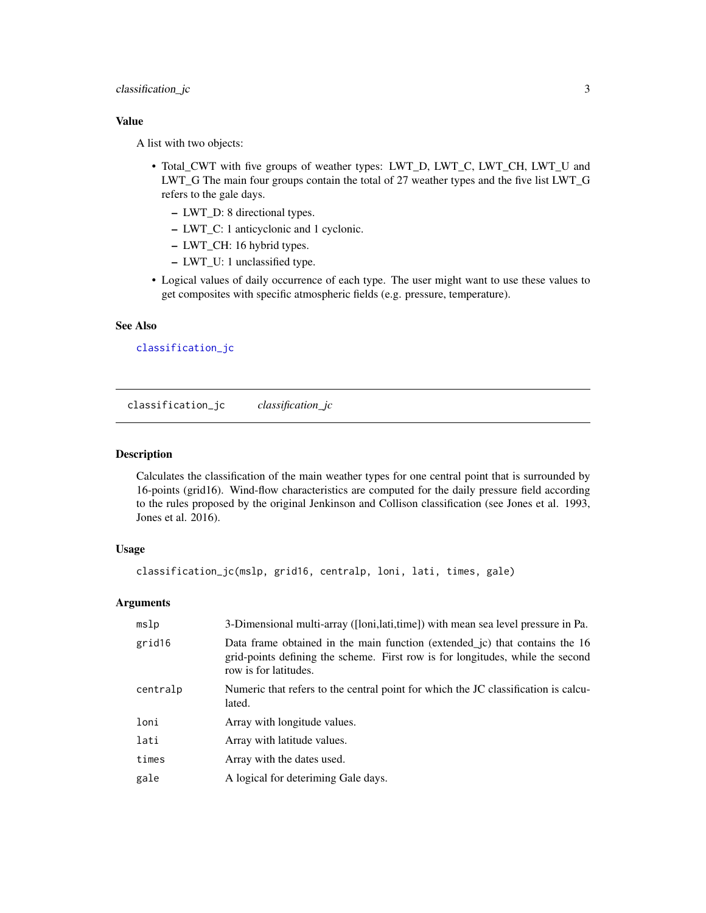# <span id="page-2-0"></span>classification\_jc 3

# Value

A list with two objects:

- Total\_CWT with five groups of weather types: LWT\_D, LWT\_C, LWT\_CH, LWT\_U and LWT\_G The main four groups contain the total of 27 weather types and the five list LWT\_G refers to the gale days.
	- LWT\_D: 8 directional types.
	- LWT\_C: 1 anticyclonic and 1 cyclonic.
	- LWT\_CH: 16 hybrid types.
	- LWT\_U: 1 unclassified type.
- Logical values of daily occurrence of each type. The user might want to use these values to get composites with specific atmospheric fields (e.g. pressure, temperature).

### See Also

[classification\\_jc](#page-2-1)

<span id="page-2-1"></span>classification\_jc *classification\_jc*

#### Description

Calculates the classification of the main weather types for one central point that is surrounded by 16-points (grid16). Wind-flow characteristics are computed for the daily pressure field according to the rules proposed by the original Jenkinson and Collison classification (see Jones et al. 1993, Jones et al. 2016).

#### Usage

```
classification_jc(mslp, grid16, centralp, loni, lati, times, gale)
```
#### Arguments

| mslp     | 3-Dimensional multi-array ([loni,lati,time]) with mean sea level pressure in Pa.                                                                                                       |
|----------|----------------------------------------------------------------------------------------------------------------------------------------------------------------------------------------|
| grid16   | Data frame obtained in the main function (extended jc) that contains the 16<br>grid-points defining the scheme. First row is for longitudes, while the second<br>row is for latitudes. |
| centralp | Numeric that refers to the central point for which the JC classification is calcu-<br>lated.                                                                                           |
| loni     | Array with longitude values.                                                                                                                                                           |
| lati     | Array with latitude values.                                                                                                                                                            |
| times    | Array with the dates used.                                                                                                                                                             |
| gale     | A logical for deteriming Gale days.                                                                                                                                                    |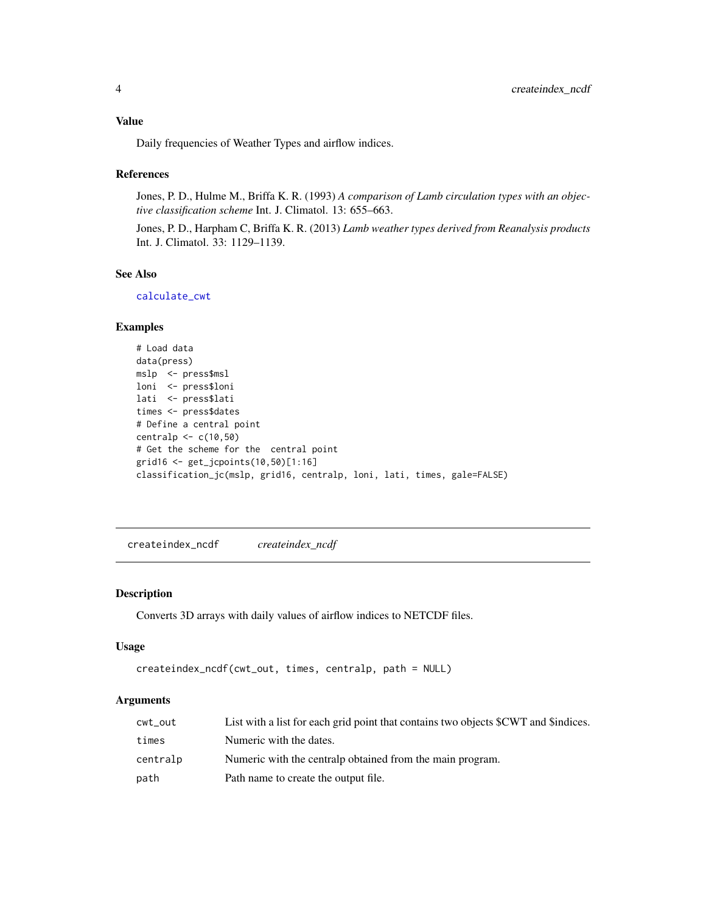# <span id="page-3-0"></span>Value

Daily frequencies of Weather Types and airflow indices.

# References

Jones, P. D., Hulme M., Briffa K. R. (1993) *A comparison of Lamb circulation types with an objective classification scheme* Int. J. Climatol. 13: 655–663.

Jones, P. D., Harpham C, Briffa K. R. (2013) *Lamb weather types derived from Reanalysis products* Int. J. Climatol. 33: 1129–1139.

# See Also

[calculate\\_cwt](#page-1-1)

# Examples

```
# Load data
data(press)
mslp <- press$msl
loni <- press$loni
lati <- press$lati
times <- press$dates
# Define a central point
centralp <- c(10,50)
# Get the scheme for the central point
grid16 <- get_jcpoints(10,50)[1:16]
classification_jc(mslp, grid16, centralp, loni, lati, times, gale=FALSE)
```
<span id="page-3-1"></span>createindex\_ncdf *createindex\_ncdf*

#### Description

Converts 3D arrays with daily values of airflow indices to NETCDF files.

# Usage

```
createindex_ncdf(cwt_out, times, centralp, path = NULL)
```
#### Arguments

| cwt_out  | List with a list for each grid point that contains two objects SCWT and Sindices. |
|----------|-----------------------------------------------------------------------------------|
| times    | Numeric with the dates.                                                           |
| centralp | Numeric with the central pobtained from the main program.                         |
| path     | Path name to create the output file.                                              |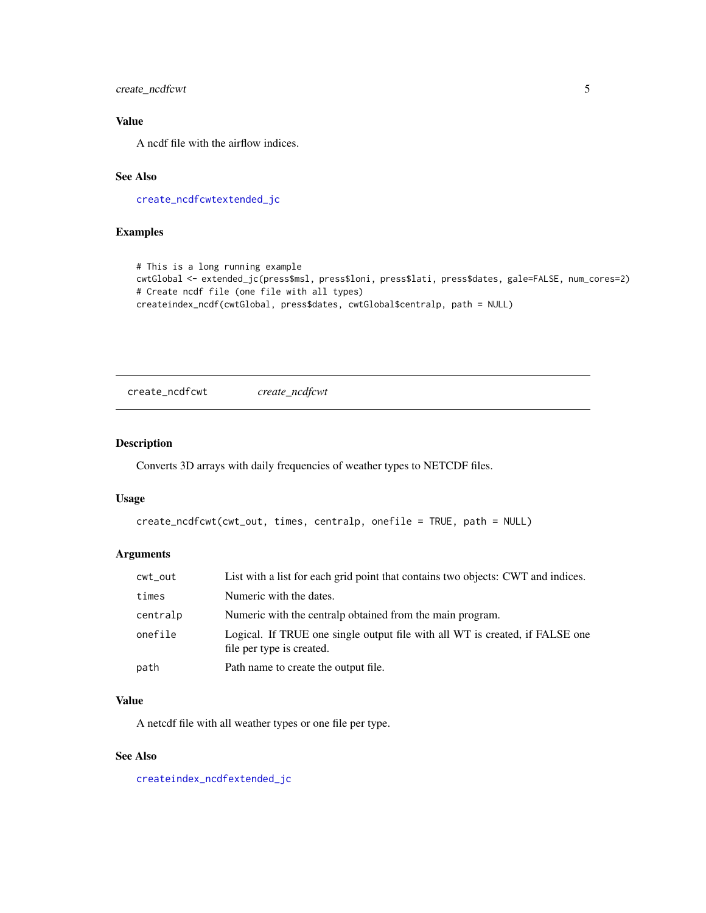<span id="page-4-0"></span>create\_ncdfcwt 5

# Value

A ncdf file with the airflow indices.

# See Also

[create\\_ncdfcwt](#page-4-1)[extended\\_jc](#page-5-1)

# Examples

```
# This is a long running example
cwtGlobal <- extended_jc(press$msl, press$loni, press$lati, press$dates, gale=FALSE, num_cores=2)
# Create ncdf file (one file with all types)
createindex_ncdf(cwtGlobal, press$dates, cwtGlobal$centralp, path = NULL)
```
<span id="page-4-1"></span>create\_ncdfcwt *create\_ncdfcwt*

# Description

Converts 3D arrays with daily frequencies of weather types to NETCDF files.

# Usage

```
create_ncdfcwt(cwt_out, times, centralp, onefile = TRUE, path = NULL)
```
# Arguments

| cwt_out  | List with a list for each grid point that contains two objects: CWT and indices.                          |
|----------|-----------------------------------------------------------------------------------------------------------|
| times    | Numeric with the dates.                                                                                   |
| centralp | Numeric with the central pobtained from the main program.                                                 |
| onefile  | Logical. If TRUE one single output file with all WT is created, if FALSE one<br>file per type is created. |
| path     | Path name to create the output file.                                                                      |

#### Value

A netcdf file with all weather types or one file per type.

# See Also

[createindex\\_ncdf](#page-3-1)[extended\\_jc](#page-5-1)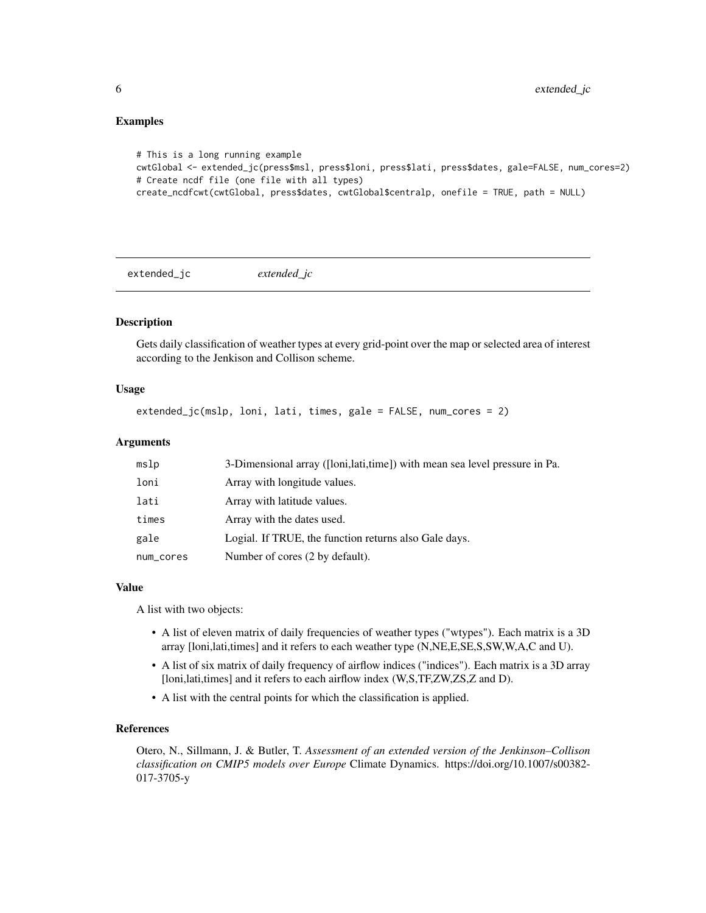### Examples

```
# This is a long running example
cwtGlobal <- extended_jc(press$msl, press$loni, press$lati, press$dates, gale=FALSE, num_cores=2)
# Create ncdf file (one file with all types)
create_ncdfcwt(cwtGlobal, press$dates, cwtGlobal$centralp, onefile = TRUE, path = NULL)
```
<span id="page-5-1"></span>extended\_jc *extended\_jc*

# Description

Gets daily classification of weather types at every grid-point over the map or selected area of interest according to the Jenkison and Collison scheme.

#### Usage

```
extended_jc(mslp, loni, lati, times, gale = FALSE, num_cores = 2)
```
# Arguments

| mslp      | 3-Dimensional array ([loni,lati,time]) with mean sea level pressure in Pa. |
|-----------|----------------------------------------------------------------------------|
| loni      | Array with longitude values.                                               |
| lati      | Array with latitude values.                                                |
| times     | Array with the dates used.                                                 |
| gale      | Logial. If TRUE, the function returns also Gale days.                      |
| num_cores | Number of cores (2 by default).                                            |

#### Value

A list with two objects:

- A list of eleven matrix of daily frequencies of weather types ("wtypes"). Each matrix is a 3D array [loni,lati,times] and it refers to each weather type (N,NE,E,SE,S,SW,W,A,C and U).
- A list of six matrix of daily frequency of airflow indices ("indices"). Each matrix is a 3D array [loni,lati,times] and it refers to each airflow index (W,S,TF,ZW,ZS,Z and D).
- A list with the central points for which the classification is applied.

## References

Otero, N., Sillmann, J. & Butler, T. *Assessment of an extended version of the Jenkinson–Collison classification on CMIP5 models over Europe* Climate Dynamics. https://doi.org/10.1007/s00382- 017-3705-y

<span id="page-5-0"></span>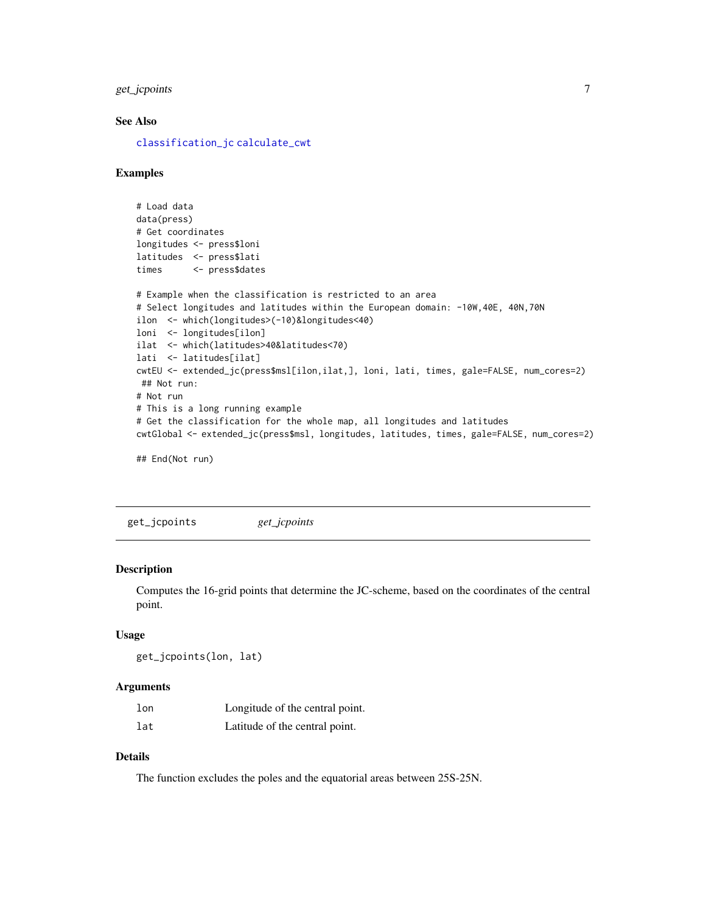<span id="page-6-0"></span>get\_jcpoints 7

# See Also

[classification\\_jc](#page-2-1) [calculate\\_cwt](#page-1-1)

#### Examples

```
# Load data
data(press)
# Get coordinates
longitudes <- press$loni
latitudes <- press$lati
times <- press$dates
# Example when the classification is restricted to an area
# Select longitudes and latitudes within the European domain: -10W,40E, 40N,70N
ilon <- which(longitudes>(-10)&longitudes<40)
loni <- longitudes[ilon]
ilat <- which(latitudes>40&latitudes<70)
lati <- latitudes[ilat]
cwtEU <- extended_jc(press$msl[ilon,ilat,], loni, lati, times, gale=FALSE, num_cores=2)
## Not run:
# Not run
# This is a long running example
# Get the classification for the whole map, all longitudes and latitudes
cwtGlobal <- extended_jc(press$msl, longitudes, latitudes, times, gale=FALSE, num_cores=2)
## End(Not run)
```
<span id="page-6-1"></span>

# get\_jcpoints *get\_jcpoints*

### Description

Computes the 16-grid points that determine the JC-scheme, based on the coordinates of the central point.

#### Usage

```
get_jcpoints(lon, lat)
```
#### Arguments

| lon | Longitude of the central point. |
|-----|---------------------------------|
| lat | Latitude of the central point.  |

# Details

The function excludes the poles and the equatorial areas between 25S-25N.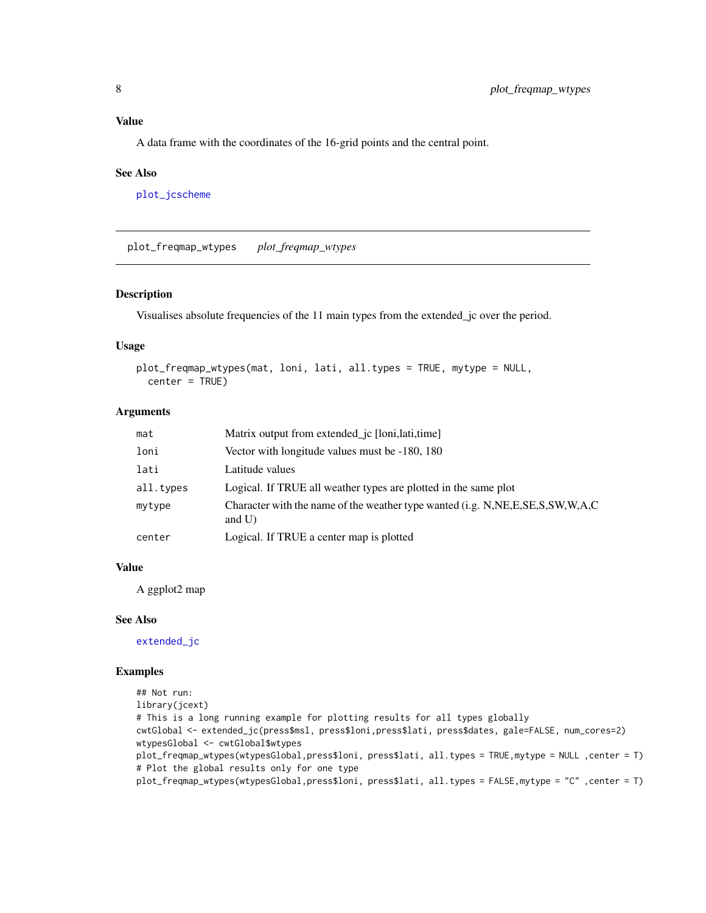# <span id="page-7-0"></span>Value

A data frame with the coordinates of the 16-grid points and the central point.

#### See Also

[plot\\_jcscheme](#page-8-1)

plot\_freqmap\_wtypes *plot\_freqmap\_wtypes*

# Description

Visualises absolute frequencies of the 11 main types from the extended\_jc over the period.

### Usage

```
plot_freqmap_wtypes(mat, loni, lati, all.types = TRUE, mytype = NULL,
 center = TRUE)
```
# Arguments

| mat       | Matrix output from extended <i>jc</i> [loni, lati, time]                                           |
|-----------|----------------------------------------------------------------------------------------------------|
| loni      | Vector with longitude values must be -180, 180                                                     |
| lati      | Latitude values                                                                                    |
| all.types | Logical. If TRUE all weather types are plotted in the same plot                                    |
| mytype    | Character with the name of the weather type wanted (i.g. N, NE, E, S.E.S, SW, W, A, C<br>and $U$ ) |
| center    | Logical. If TRUE a center map is plotted                                                           |

# Value

A ggplot2 map

#### See Also

[extended\\_jc](#page-5-1)

## Examples

```
## Not run:
library(jcext)
# This is a long running example for plotting results for all types globally
cwtGlobal <- extended_jc(press$msl, press$loni,press$lati, press$dates, gale=FALSE, num_cores=2)
wtypesGlobal <- cwtGlobal$wtypes
plot_freqmap_wtypes(wtypesGlobal,press$loni, press$lati, all.types = TRUE,mytype = NULL ,center = T)
# Plot the global results only for one type
plot_freqmap_wtypes(wtypesGlobal,press$loni, press$lati, all.types = FALSE,mytype = "C" ,center = T)
```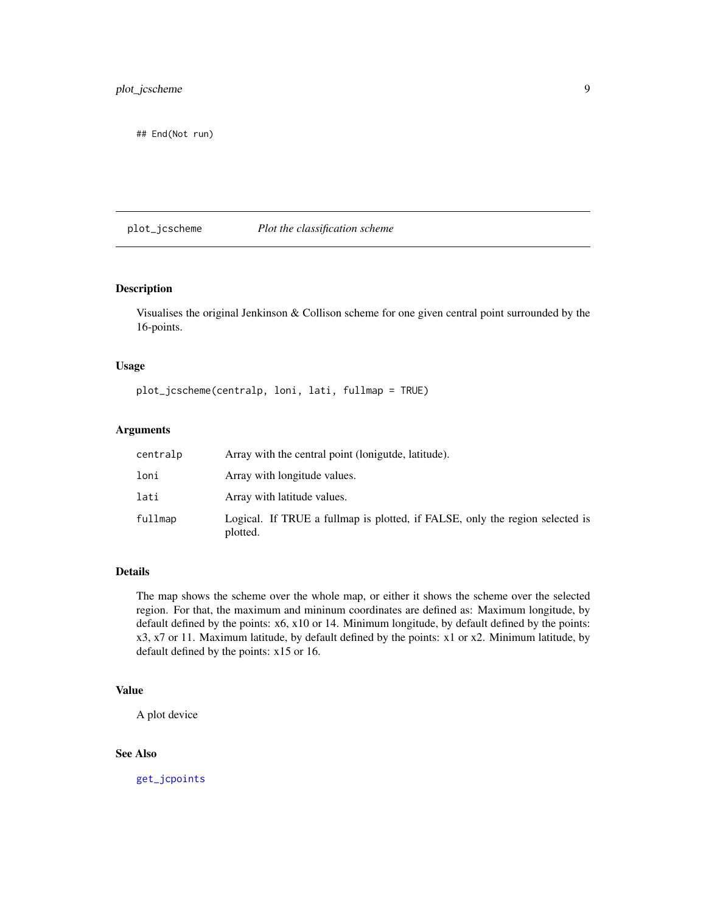<span id="page-8-0"></span>## End(Not run)

# <span id="page-8-1"></span>plot\_jcscheme *Plot the classification scheme*

# Description

Visualises the original Jenkinson & Collison scheme for one given central point surrounded by the 16-points.

#### Usage

plot\_jcscheme(centralp, loni, lati, fullmap = TRUE)

#### Arguments

| centralp | Array with the central point (loniguide, latitude).                                      |
|----------|------------------------------------------------------------------------------------------|
| loni     | Array with longitude values.                                                             |
| lati     | Array with latitude values.                                                              |
| fullmap  | Logical. If TRUE a fullmap is plotted, if FALSE, only the region selected is<br>plotted. |

# Details

The map shows the scheme over the whole map, or either it shows the scheme over the selected region. For that, the maximum and mininum coordinates are defined as: Maximum longitude, by default defined by the points: x6, x10 or 14. Minimum longitude, by default defined by the points: x3, x7 or 11. Maximum latitude, by default defined by the points: x1 or x2. Minimum latitude, by default defined by the points: x15 or 16.

# Value

A plot device

# See Also

[get\\_jcpoints](#page-6-1)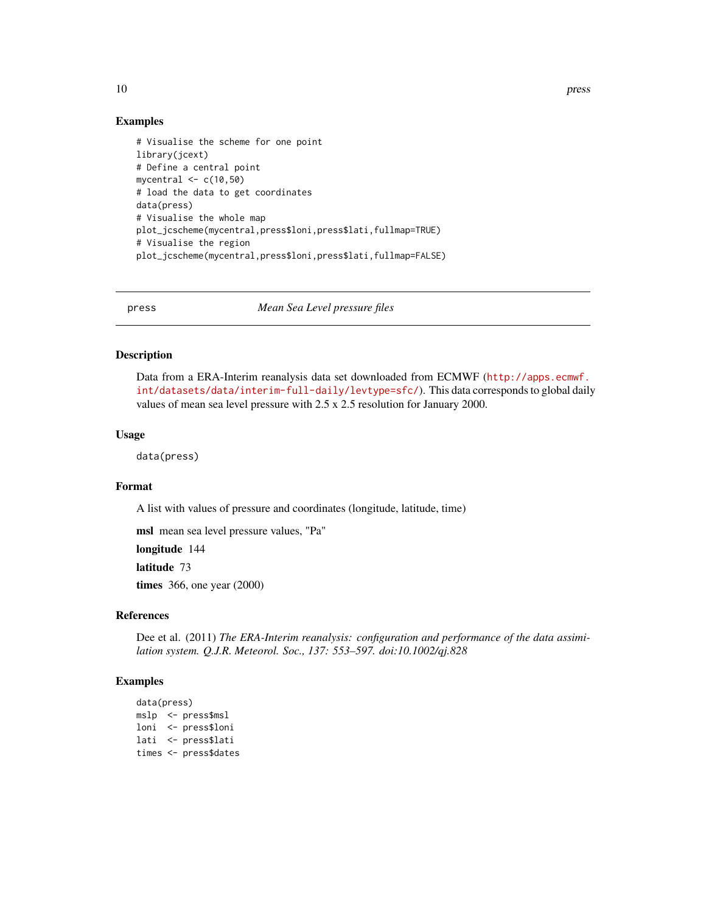<span id="page-9-0"></span>10 press and the press of the press of the press and the press of the press of the press of the press of the press of the press of the press of the press of the press of the press of the press of the press of the press of

#### Examples

```
# Visualise the scheme for one point
library(jcext)
# Define a central point
mycentral \leq c(10,50)
# load the data to get coordinates
data(press)
# Visualise the whole map
plot_jcscheme(mycentral,press$loni,press$lati,fullmap=TRUE)
# Visualise the region
plot_jcscheme(mycentral,press$loni,press$lati,fullmap=FALSE)
```
press *Mean Sea Level pressure files*

# Description

Data from a ERA-Interim reanalysis data set downloaded from ECMWF ([http://apps.ecmwf.](http://apps.ecmwf.int/datasets/data/interim-full-daily/levtype=sfc/) [int/datasets/data/interim-full-daily/levtype=sfc/](http://apps.ecmwf.int/datasets/data/interim-full-daily/levtype=sfc/)). This data corresponds to global daily values of mean sea level pressure with 2.5 x 2.5 resolution for January 2000.

#### Usage

data(press)

#### Format

A list with values of pressure and coordinates (longitude, latitude, time)

msl mean sea level pressure values, "Pa"

longitude 144

latitude 73

times 366, one year (2000)

# References

Dee et al. (2011) *The ERA-Interim reanalysis: configuration and performance of the data assimilation system. Q.J.R. Meteorol. Soc., 137: 553–597. doi:10.1002/qj.828*

### Examples

```
data(press)
mslp <- press$msl
loni <- press$loni
lati <- press$lati
times <- press$dates
```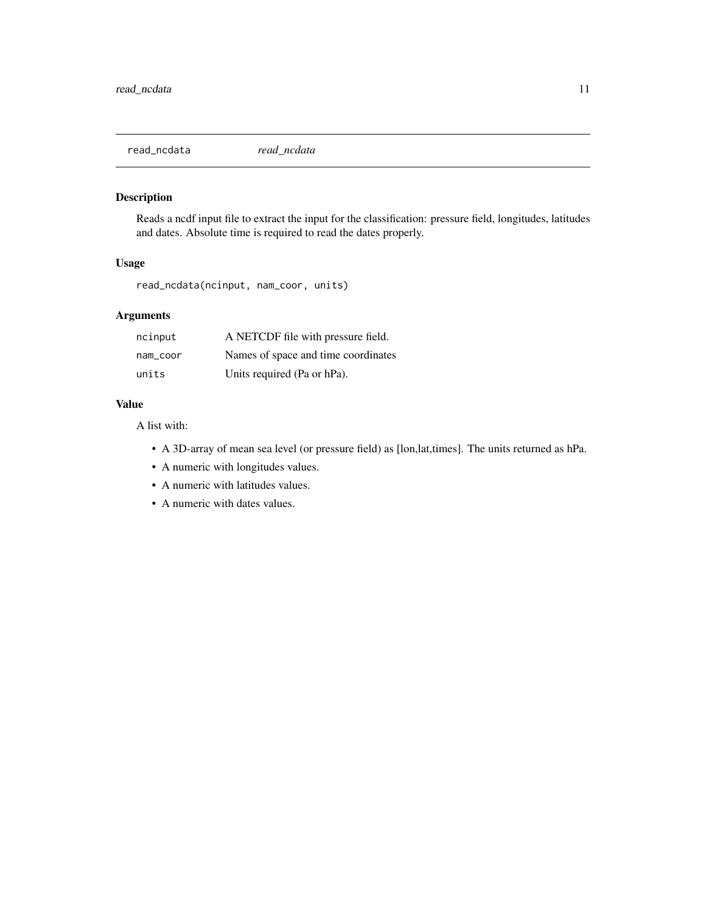<span id="page-10-0"></span>read\_ncdata *read\_ncdata*

# Description

Reads a ncdf input file to extract the input for the classification: pressure field, longitudes, latitudes and dates. Absolute time is required to read the dates properly.

# Usage

read\_ncdata(ncinput, nam\_coor, units)

# Arguments

| ncinput  | A NETCDF file with pressure field.  |
|----------|-------------------------------------|
| nam coor | Names of space and time coordinates |
| units    | Units required (Pa or hPa).         |

#### Value

A list with:

- A 3D-array of mean sea level (or pressure field) as [lon,lat,times]. The units returned as hPa.
- A numeric with longitudes values.
- A numeric with latitudes values.
- A numeric with dates values.